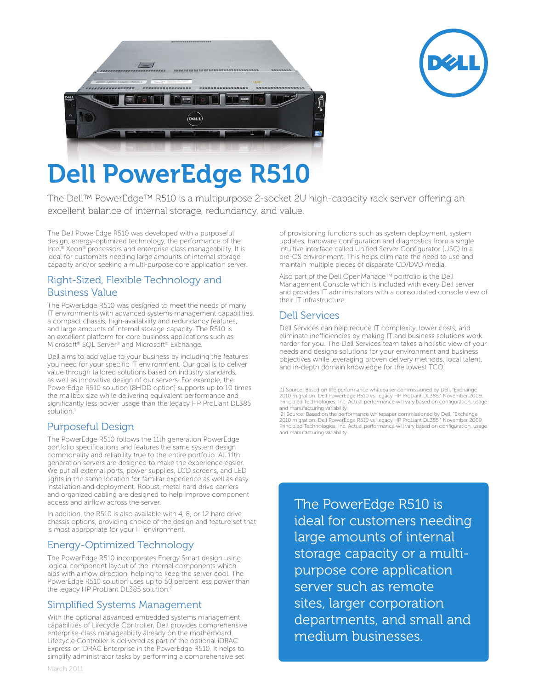



# Dell PowerEdge R510

The Dell™ PowerEdge™ R510 is a multipurpose 2-socket 2U high-capacity rack server offering an excellent balance of internal storage, redundancy, and value.

The Dell PowerEdge R510 was developed with a purposeful design, energy-optimized technology, the performance of the Intel® Xeon® processors and enterprise-class manageability. It is ideal for customers needing large amounts of internal storage capacity and/or seeking a multi-purpose core application server.

### Right-Sized, Flexible Technology and Business Value

The PowerEdge R510 was designed to meet the needs of many IT environments with advanced systems management capabilities, a compact chassis, high-availability and redundancy features, and large amounts of internal storage capacity. The R510 is an excellent platform for core business applications such as Microsoft® SQL Server® and Microsoft® Exchange.

Dell aims to add value to your business by including the features you need for your specific IT environment. Our goal is to deliver value through tailored solutions based on industry standards, as well as innovative design of our servers. For example, the PowerEdge R510 solution (8HDD option) supports up to 10 times the mailbox size while delivering equivalent performance and significantly less power usage than the legacy HP ProLiant DL385 solution.<sup>1</sup>

# Purposeful Design

The PowerEdge R510 follows the 11th generation PowerEdge portfolio specifications and features the same system design commonality and reliability true to the entire portfolio. All 11th generation servers are designed to make the experience easier. We put all external ports, power supplies, LCD screens, and LED lights in the same location for familiar experience as well as easy installation and deployment. Robust, metal hard drive carriers and organized cabling are designed to help improve component access and airflow across the server.

In addition, the R510 is also available with 4, 8, or 12 hard drive chassis options, providing choice of the design and feature set that is most appropriate for your IT environment.

# Energy-Optimized Technology

The PowerEdge R510 incorporates Energy Smart design using logical component layout of the internal components which aids with airflow direction, helping to keep the server cool. The PowerEdge R510 solution uses up to 50 percent less power than the legacy HP ProLiant DL385 solution.<sup>2</sup>

#### Simplified Systems Management

With the optional advanced embedded systems management capabilities of Lifecycle Controller, Dell provides comprehensive enterprise-class manageability already on the motherboard. Lifecycle Controller is delivered as part of the optional iDRAC Express or iDRAC Enterprise in the PowerEdge R510. It helps to simplify administrator tasks by performing a comprehensive set

of provisioning functions such as system deployment, system updates, hardware configuration and diagnostics from a single intuitive interface called Unified Server Configurator (USC) in a pre-OS environment. This helps eliminate the need to use and maintain multiple pieces of disparate CD/DVD media.

Also part of the Dell OpenManage™ portfolio is the Dell Management Console which is included with every Dell server and provides IT administrators with a consolidated console view of their IT infrastructure.

#### Dell Services

Dell Services can help reduce IT complexity, lower costs, and eliminate inefficiencies by making IT and business solutions work harder for you. The Dell Services team takes a holistic view of your needs and designs solutions for your environment and business objectives while leveraging proven delivery methods, local talent, and in-depth domain knowledge for the lowest TCO.

[1] Source: Based on the performance whitepaper commissioned by Dell, "Exchange 2010 migration: Dell PowerEdge R510 vs. legacy HP ProLiant DL385," November 2009, Principled Technologies, Inc. Actual performance will vary based on configuration, usage and manufacturing variability.

[2] Source: Based on the performance whitepaper commissioned by Dell, "Exchange 2010 migration: Dell PowerEdge R510 vs. legacy HP ProLiant DL385," November 2009, Principled Technologies, Inc. Actual performance will vary based on configuration, usage and manufacturing variability.

The PowerEdge R510 is ideal for customers needing large amounts of internal storage capacity or a multipurpose core application server such as remote sites, larger corporation departments, and small and medium businesses.